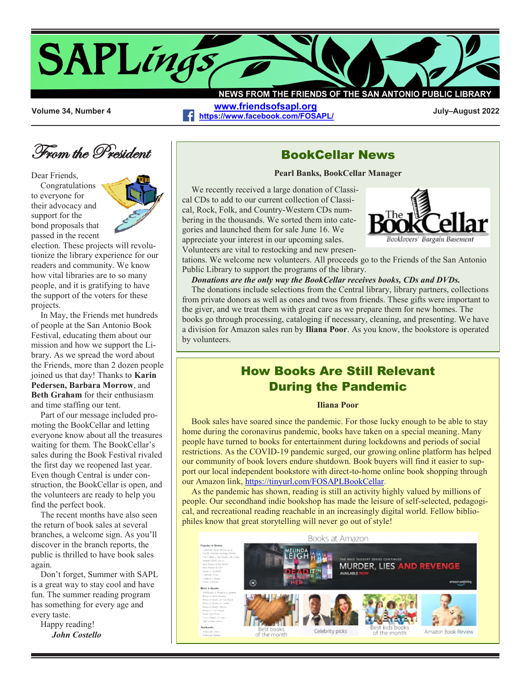# **News from the Friends of the SAPLings San Antonio Public Library**

NEWS FROM THE FRIENDS OF THE SAN ANTONIO PUBLIC LIBRAR **[www.friendsofsapl.org](http://www.friendsofsapl.org/)**

**<https://www.facebook.com/FOSAPL/> Volume 34, Number 4 July–August 2022**

# From the President

Dear Friends,

Congratulations to everyone for their advocacy and support for the bond proposals that passed in the recent

election. These projects will revolutionize the library experience for our readers and community. We know how vital libraries are to so many people, and it is gratifying to have the support of the voters for these projects.

In May, the Friends met hundreds of people at the San Antonio Book Festival, educating them about our mission and how we support the Library. As we spread the word about the Friends, more than 2 dozen people joined us that day! Thanks to **Karin Pedersen, Barbara Morrow**, and **Beth Graham** for their enthusiasm and time staffing our tent.

Part of our message included promoting the BookCellar and letting everyone know about all the treasures waiting for them. The BookCellar's sales during the Book Festival rivaled the first day we reopened last year. Even though Central is under construction, the BookCellar is open, and the volunteers are ready to help you find the perfect book.

The recent months have also seen the return of book sales at several branches, a welcome sign. As you'll discover in the branch reports, the public is thrilled to have book sales again.

Don't forget, Summer with SAPL is a great way to stay cool and have fun. The summer reading program has something for every age and every taste.

Happy reading! *John Costello*



**BookCellar News**

**Pearl Banks, BookCellar Manager**

We recently received a large donation of Classical CDs to add to our current collection of Classical, Rock, Folk, and Country-Western CDs numbering in the thousands. We sorted them into categories and launched them for sale June 16. We appreciate your interest in our upcoming sales. Volunteers are vital to restocking and new presen-



tations. We welcome new volunteers. All proceeds go to the Friends of the San Antonio Public Library to support the programs of the library.

*Donations are the only way the BookCellar receives books, CDs and DVDs.* 

The donations include selections from the Central library, library partners, collections from private donors as well as ones and twos from friends. These gifts were important to the giver, and we treat them with great care as we prepare them for new homes. The books go through processing, cataloging if necessary, cleaning, and presenting. We have a division for Amazon sales run by **Iliana Poor**. As you know, the bookstore is operated by volunteers.

### **How Books Are Still Relevant During the Pandemic**

#### **Iliana Poor**

Book sales have soared since the pandemic. For those lucky enough to be able to stay home during the coronavirus pandemic, books have taken on a special meaning. Many people have turned to books for entertainment during lockdowns and periods of social restrictions. As the COVID-19 pandemic surged, our growing online platform has helped our community of book lovers endure shutdown. Book buyers will find it easier to support our local independent bookstore with direct-to-home online book shopping through our Amazon link, [https://tinyurl.com/FOSAPLBookCellar.](https://tinyurl.com/FOSAPLBookCellar)

As the pandemic has shown, reading is still an activity highly valued by millions of people. Our secondhand indie bookshop has made the leisure of self-selected, pedagogical, and recreational reading reachable in an increasingly digital world. Fellow bibliophiles know that great storytelling will never go out of style!

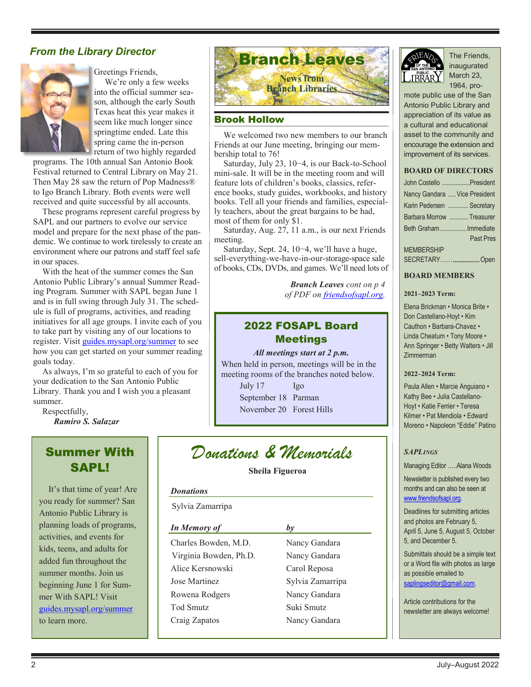

Greetings Friends,

 We're only a few weeks into the official summer season, although the early South Texas heat this year makes it seem like much longer since springtime ended. Late this spring came the in-person return of two highly regarded

programs. The 10th annual San Antonio Book Festival returned to Central Library on May 21. Then May 28 saw the return of Pop Madness® to Igo Branch Library. Both events were well received and quite successful by all accounts.

These programs represent careful progress by SAPL and our partners to evolve our service model and prepare for the next phase of the pandemic. We continue to work tirelessly to create an environment where our patrons and staff feel safe in our spaces.

With the heat of the summer comes the San Antonio Public Library's annual Summer Reading Program. Summer with SAPL began June 1 and is in full swing through July 31. The schedule is full of programs, activities, and reading initiatives for all age groups. I invite each of you to take part by visiting any of our locations to register. Visit <guides.mysapl.org/summer> to see how you can get started on your summer reading goals today.

As always, I'm so grateful to each of you for your dedication to the San Antonio Public Library. Thank you and I wish you a pleasant summer.

Respectfully, *Ramiro S. Salazar*

## **Summer With SAPL!**

It's that time of year! Are you ready for summer? San Antonio Public Library is planning loads of programs, activities, and events for kids, teens, and adults for added fun throughout the summer months. Join us beginning June 1 for Summer With SAPL! Visit <guides.mysapl.org/summer> to learn more.



#### **Brook Hollow**

We welcomed two new members to our branch Friends at our June meeting, bringing our membership total to 76!

Saturday, July 23, 10−4, is our Back-to-School mini-sale. It will be in the meeting room and will feature lots of children's books, classics, reference books, study guides, workbooks, and history books. Tell all your friends and families, especially teachers, about the great bargains to be had, most of them for only \$1.

Saturday, Aug. 27, 11 a.m., is our next Friends meeting.

Saturday, Sept. 24, 10−4, we'll have a huge, sell-everything-we-have-in-our-storage-space sale of books, CDs, DVDs, and games. We'll need lots of

> *Branch Leaves cont on p 4 of PDF on [friendsofsapl.org.](http://www.friendsofsapl.org)*

### **2022 FOSAPL Board Meetings**

*All meetings start at 2 p.m.*

When held in person, meetings will be in the meeting rooms of the branches noted below.

July 17 Igo September 18 Parman November 20 Forest Hills

# *Donations & Memorials*

**Sheila Figueroa**

#### *Donations*

Sylvia Zamarripa

| In Memory of           | $b\nu$           |
|------------------------|------------------|
| Charles Bowden, M.D.   | Nancy Gandara    |
| Virginia Bowden, Ph.D. | Nancy Gandara    |
| Alice Kersnowski       | Carol Reposa     |
| Jose Martinez          | Sylvia Zamarripa |
| Rowena Rodgers         | Nancy Gandara    |
| <b>Tod Smutz</b>       | Suki Smutz       |
| Craig Zapatos          | Nancy Gandara    |
|                        |                  |



inaugurated March 23, 1964, pro-

mote public use of the San Antonio Public Library and appreciation of its value as a cultural and educational asset to the community and encourage the extension and improvement of its services.

#### **BOARD OF DIRECTORS**

|                   | John Costello President       |
|-------------------|-------------------------------|
|                   | Nancy Gandara  Vice President |
|                   | Karin Pedersen  Secretary     |
|                   | Barbara Morrow  Treasurer     |
|                   | Beth Graham Immediate         |
|                   | <b>Past Pres</b>              |
| <b>MEMBERSHIP</b> |                               |
|                   | SECRETARY  Open               |

#### **BOARD MEMBERS**

#### **2021–2023 Term:**

Elena Brickman • Monica Brite • Don Castellano-Hoyt • Kim Cauthon • Barbara-Chavez • Linda Cheatum • Tony Moore • Ann Springer • Betty Walters • Jill Zimmerman

#### **2022–2024 Term:**

Paula Allen • Marcie Anguiano • Kathy Bee • Julia Castellano-Hoyt • Katie Ferrier • Teresa Kilmer • Pat Mendiola • Edward Moreno • Napoleon "Eddie" Patino

#### *SAPLINGS*

Managing Editor …..Alana Woods

Newsletter is published every two months and can also be seen at [www.friendsofsapl.org.](http://www.friendsofsapl.org)

Deadlines for submitting articles and photos are February 5, April 5, June 5, August 5, October 5, and December 5.

Submittals should be a simple text or a Word file with photos as large as possible emailed to saplingseditor@gmail.com.

Article contributions for the newsletter are always welcome!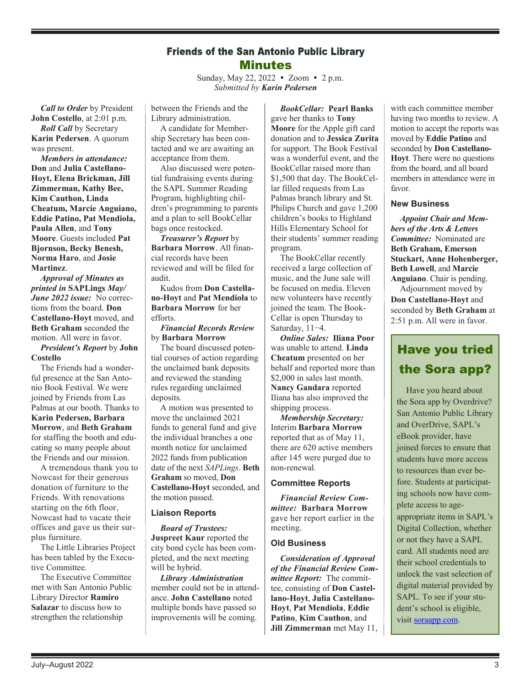### **Friends of the San Antonio Public Library Minutes**

Sunday, May 22, 2022 • Zoom • 2 p.m. *Submitted by Karin Pedersen*

*Call to Order* by President **John Costello**, at 2:01 p.m.

*Roll Call* by Secretary **Karin Pedersen**. A quorum was present.

*Members in attendance:* **Don** and **Julia Castellano-Hoyt, Elena Brickman, Jill Zimmerman, Kathy Bee, Kim Cauthon, Linda Cheatum, Marcie Anguiano, Eddie Patino, Pat Mendiola, Paula Allen**, and **Tony Moore**. Guests included **Pat Bjornson, Becky Benesh, Norma Haro**, and **Josie Martinez**.

*Approval of Minutes as printed in* **SAPLings** *May/ June 2022 issue:* No corrections from the board. **Don Castellano-Hoyt** moved, and **Beth Graham** seconded the motion. All were in favor.

*President's Report* by **John Costello**

The Friends had a wonderful presence at the San Antonio Book Festival. We were joined by Friends from Las Palmas at our booth. Thanks to **Karin Pedersen, Barbara Morrow**, and **Beth Graham** for staffing the booth and educating so many people about the Friends and our mission.

A tremendous thank you to Nowcast for their generous donation of furniture to the Friends. With renovations starting on the 6th floor, Nowcast had to vacate their offices and gave us their surplus furniture.

The Little Libraries Project has been tabled by the Executive Committee.

The Executive Committee met with San Antonio Public Library Director **Ramiro Salazar** to discuss how to strengthen the relationship

between the Friends and the Library administration.

A candidate for Membership Secretary has been contacted and we are awaiting an acceptance from them.

Also discussed were potential fundraising events during the SAPL Summer Reading Program, highlighting children's programming to parents and a plan to sell BookCellar bags once restocked.

*Treasurer's Report* by **Barbara Morrow**. All financial records have been reviewed and will be filed for audit.

Kudos from **Don Castellano-Hoyt** and **Pat Mendiola** to **Barbara Morrow** for her efforts.

*Financial Records Review* by **Barbara Morrow**

The board discussed potential courses of action regarding the unclaimed bank deposits and reviewed the standing rules regarding unclaimed deposits.

A motion was presented to move the unclaimed 2021 funds to general fund and give the individual branches a one month notice for unclaimed 2022 funds from publication date of the next *SAPLings*. **Beth Graham** so moved, **Don Castellano-Hoyt** seconded, and the motion passed.

#### **Liaison Reports**

*Board of Trustees:*

**Juspreet Kaur** reported the city bond cycle has been completed, and the next meeting will be hybrid.

*Library Administration* member could not be in attendance. **John Castellano** noted multiple bonds have passed so improvements will be coming.

*BookCellar:* **Pearl Banks** gave her thanks to **Tony Moore** for the Apple gift card donation and to **Jessica Zurita** for support. The Book Festival was a wonderful event, and the BookCellar raised more than \$1,500 that day. The BookCellar filled requests from Las Palmas branch library and St. Philips Church and gave 1,200 children's books to Highland Hills Elementary School for their students' summer reading program.

The BookCellar recently received a large collection of music, and the June sale will be focused on media. Eleven new volunteers have recently joined the team. The Book-Cellar is open Thursday to Saturday, 11−4.

*Online Sales:* **Iliana Poor** was unable to attend. **Linda Cheatum** presented on her behalf and reported more than \$2,000 in sales last month. **Nancy Gandara** reported Iliana has also improved the shipping process.

*Membership Secretary:* Interim **Barbara Morrow** reported that as of May 11, there are 620 active members after 145 were purged due to non-renewal.

#### **Committee Reports**

*Financial Review Committee:* **Barbara Morrow** gave her report earlier in the meeting.

#### **Old Business**

*Consideration of Approval of the Financial Review Committee Report:* The committee, consisting of **Don Castellano-Hoyt**, **Julia Castellano-Hoyt**, **Pat Mendiola**, **Eddie Patino**, **Kim Cauthon**, and **Jill Zimmerman** met May 11, with each committee member having two months to review. A motion to accept the reports was moved by **Eddie Patino** and seconded by **Don Castellano-Hoyt**. There were no questions from the board, and all board members in attendance were in favor.

#### **New Business**

*Appoint Chair and Members of the Arts & Letters Committee:* Nominated are **Beth Graham, Emerson Stuckart, Anne Hohenberger, Beth Lowell**, and **Marcie Anguiano**. Chair is pending.

Adjournment moved by **Don Castellano-Hoyt** and seconded by **Beth Graham** at 2:51 p.m. All were in favor.

# **Have you tried the Sora app?**

Have you heard about the Sora app by Overdrive? San Antonio Public Library and OverDrive, SAPL's eBook provider, have joined forces to ensure that students have more access to resources than ever before. Students at participating schools now have complete access to ageappropriate items in SAPL's Digital Collection, whether or not they have a SAPL card. All students need are their school credentials to unlock the vast selection of digital material provided by SAPL. To see if your student's school is eligible, visit [soraapp.com.](https://soraapp.com/welcome)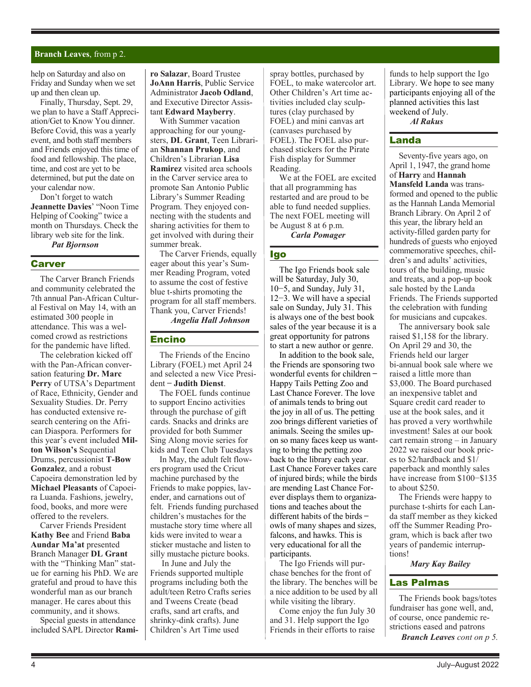#### **Branch Leaves**, from p 2.

help on Saturday and also on Friday and Sunday when we set up and then clean up.

Finally, Thursday, Sept. 29, we plan to have a Staff Appreciation/Get to Know You dinner. Before Covid, this was a yearly event, and both staff members and Friends enjoyed this time of food and fellowship. The place, time, and cost are yet to be determined, but put the date on your calendar now.

Don't forget to watch **Jeannette Davies**' "Noon Time Helping of Cooking" twice a month on Thursdays. Check the library web site for the link. *Pat Bjornson*

#### **Carver**

The Carver Branch Friends and community celebrated the 7th annual Pan-African Cultural Festival on May 14, with an estimated 300 people in attendance. This was a welcomed crowd as restrictions for the pandemic have lifted.

The celebration kicked off with the Pan-African conversation featuring **Dr. Marc Perry** of UTSA's Department of Race, Ethnicity, Gender and Sexuality Studies. Dr. Perry has conducted extensive research centering on the African Diaspora. Performers for this year's event included **Milton Wilson's** Sequential Drums, percussionist **T-Bow Gonzalez**, and a robust Capoeira demonstration led by **Michael Pleasants** of Capoeira Luanda. Fashions, jewelry, food, books, and more were offered to the revelers.

Carver Friends President **Kathy Bee** and Friend **Baba Aundar Ma'at** presented Branch Manager **DL Grant** with the "Thinking Man" statue for earning his PhD. We are grateful and proud to have this wonderful man as our branch manager. He cares about this community, and it shows.

Special guests in attendance included SAPL Director **Rami-** **ro Salazar**, Board Trustee **JoAnn Harris**, Public Service Administrator **Jacob Odland**, and Executive Director Assistant **Edward Mayberry**.

With Summer vacation approaching for our youngsters, **DL Grant**, Teen Librarian **Shannan Prukop**, and Children's Librarian **Lisa Ramirez** visited area schools in the Carver service area to promote San Antonio Public Library's Summer Reading Program. They enjoyed connecting with the students and sharing activities for them to get involved with during their summer break.

The Carver Friends, equally eager about this year's Summer Reading Program, voted to assume the cost of festive blue t-shirts promoting the program for all staff members. Thank you, Carver Friends!

*Angelia Hall Johnson*

#### **Encino**

The Friends of the Encino Library (FOEL) met April 24 and selected a new Vice President ̶ **Judith Dienst**.

The FOEL funds continue to support Encino activities through the purchase of gift cards. Snacks and drinks are provided for both Summer Sing Along movie series for kids and Teen Club Tuesdays

In May, the adult felt flowers program used the Cricut machine purchased by the Friends to make poppies, lavender, and carnations out of felt. Friends funding purchased children's mustaches for the mustache story time where all kids were invited to wear a sticker mustache and listen to silly mustache picture books.

In June and July the Friends supported multiple programs including both the adult/teen Retro Crafts series and Tweens Create (bead crafts, sand art crafts, and shrinky-dink crafts). June Children's Art Time used

spray bottles, purchased by FOEL, to make watercolor art. Other Children's Art time activities included clay sculptures (clay purchased by FOEL) and mini canvas art (canvases purchased by FOEL). The FOEL also purchased stickers for the Pirate Fish display for Summer Reading.

We at the FOEL are excited that all programming has restarted and are proud to be able to fund needed supplies. The next FOEL meeting will be August 8 at 6 p.m. *Carla Pomager*

#### **Igo**

The Igo Friends book sale will be Saturday, July 30, 10−5, and Sunday, July 31, 12−3. We will have a special sale on Sunday, July 31. This is always one of the best book sales of the year because it is a great opportunity for patrons to start a new author or genre.

In addition to the book sale, the Friends are sponsoring two wonderful events for children – Happy Tails Petting Zoo and Last Chance Forever. The love of animals tends to bring out the joy in all of us. The petting zoo brings different varieties of animals. Seeing the smiles upon so many faces keep us wanting to bring the petting zoo back to the library each year. Last Chance Forever takes care of injured birds; while the birds are mending Last Chance Forever displays them to organizations and teaches about the different habits of the birds – owls of many shapes and sizes, falcons, and hawks. This is very educational for all the participants.

The Igo Friends will purchase benches for the front of the library. The benches will be a nice addition to be used by all while visiting the library.

Come enjoy the fun July 30 and 31. Help support the Igo Friends in their efforts to raise

funds to help support the Igo Library. We hope to see many participants enjoying all of the planned activities this last weekend of July. *Al Rakus*

#### **Landa**

Seventy-five years ago, on April 1, 1947, the grand home of **Harry** and **Hannah Mansfeld Landa** was transformed and opened to the public as the Hannah Landa Memorial Branch Library. On April 2 of this year, the library held an activity-filled garden party for hundreds of guests who enjoyed commemorative speeches, children's and adults' activities, tours of the building, music and treats, and a pop-up book sale hosted by the Landa Friends. The Friends supported the celebration with funding for musicians and cupcakes.

The anniversary book sale raised \$1,158 for the library. On April 29 and 30, the Friends held our larger bi-annual book sale where we raised a little more than \$3,000. The Board purchased an inexpensive tablet and Square credit card reader to use at the book sales, and it has proved a very worthwhile investment! Sales at our book cart remain strong – in January 2022 we raised our book prices to \$2/hardback and \$1/ paperback and monthly sales have increase from \$100−\$135 to about \$250.

The Friends were happy to purchase t-shirts for each Landa staff member as they kicked off the Summer Reading Program, which is back after two years of pandemic interruptions!

*Mary Kay Bailey*

#### **Las Palmas**

The Friends book bags/totes fundraiser has gone well, and, of course, once pandemic restrictions eased and patrons

*Branch Leaves cont on p 5.*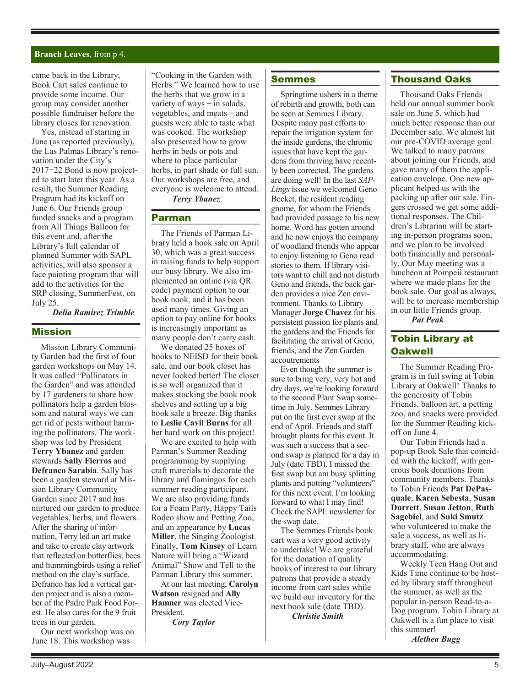#### **Branch Leaves**, from p 4.

came back in the Library, Book Cart sales continue to provide some income. Our group may consider another possible fundraiser before the library closes for renovation.

Yes, instead of starting in June (as reported previously), the Las Palmas Library's renovation under the City's 2017−22 Bond is now projected to start later this year. As a result, the Summer Reading Program had its kickoff on June 6. Our Friends group funded snacks and a program from All Things Balloon for this event and, after the Library's full calendar of planned Summer with SAPL activities, will also sponsor a face painting program that will add to the activities for the SRP closing, SummerFest, on July 25.

*Delia Ramirez Trimble*

#### **Mission**

Mission Library Community Garden had the first of four garden workshops on May 14. It was called "Pollinators in the Garden" and was attended by 17 gardeners to share how pollinators help a garden blossom and natural ways we can get rid of pests without harming the pollinators. The workshop was led by President **Terry Ybanez** and garden stewards **Sally Fierros** and **Defranco Sarabia**. Sally has been a garden steward at Mission Library Community Garden since 2017 and has nurtured our garden to produce vegetables, herbs, and flowers. After the sharing of information, Terry led an art make and take to create clay artwork that reflected on butterflies, bees and hummingbirds using a relief method on the clay's surface. Defranco has led a vertical garden project and is also a member of the Padre Park Food Forest. He also cares for the 9 fruit trees in our garden.

Our next workshop was on June 18. This workshop was

"Cooking in the Garden with Herbs." We learned how to use the herbs that we grow in a variety of ways  $-$  in salads, vegetables, and meats  $-$  and guests were able to taste what was cooked. The workshop also presented how to grow herbs in beds or pots and where to place particular herbs, in part shade or full sun. Our workshops are free, and everyone is welcome to attend. *Terry Ybanez*

# **Parman**

The Friends of Parman Library held a book sale on April 30, which was a great success in raising funds to help support our busy library. We also implemented an online (via QR code) payment option to our book nook, and it has been used many times. Giving an option to pay online for books is increasingly important as many people don't carry cash.

We donated 25 boxes of books to NEISD for their book sale, and our book closet has never looked better! The closet is so well organized that it makes stocking the book nook shelves and setting up a big book sale a breeze. Big thanks to **Leslie Cavil Burns** for all her hard work on this project!

We are excited to help with Parman's Summer Reading programming by supplying craft materials to decorate the library and flamingos for each summer reading participant. We are also providing funds for a Foam Party, Happy Tails Rodeo show and Petting Zoo, and an appearance by **Lucas Miller**, the Singing Zoologist. Finally, **Tom Kinsey** of Learn Nature will bring a "Wizard Animal" Show and Tell to the Parman Library this summer.

At our last meeting, **Carolyn Watson** resigned and **Ally Hamner** was elected Vice-President.

*Cory Taylor*

#### **Semmes**

Springtime ushers in a theme of rebirth and growth; both can be seen at Semmes Library. Despite many past efforts to repair the irrigation system for the inside gardens, the chronic issues that have kept the gardens from thriving have recently been corrected. The gardens are doing well! In the last *SAP-Lings* issue we welcomed Geno Becket, the resident reading gnome, for whom the Friends had provided passage to his new home. Word has gotten around and he now enjoys the company of woodland friends who appear to enjoy listening to Geno read stories to them. If library visitors want to chill and not disturb Geno and friends, the back garden provides a nice Zen environment. Thanks to Library Manager **Jorge Chavez** for his persistent passion for plants and the gardens and the Friends for facilitating the arrival of Geno, friends, and the Zen Garden accoutrements

Even though the summer is sure to bring very, very hot and dry days, we're looking forward to the second Plant Swap sometime in July. Semmes Library put on the first ever swap at the end of April. Friends and staff brought plants for this event. It was such a success that a second swap is planned for a day in July (date TBD). I missed the first swap but am busy splitting plants and potting "volunteers" for this next event. I'm looking forward to what I may find! Check the SAPL newsletter for the swap date.

The Semmes Friends book cart was a very good activity to undertake! We are grateful for the donation of quality books of interest to our library patrons that provide a steady income from cart sales while we build our inventory for the next book sale (date TBD).

*Christie Smith*

#### **Thousand Oaks**

Thousand Oaks Friends held our annual summer book sale on June 5, which had much better response than our December sale. We almost hit our pre-COVID average goal. We talked to many patrons about joining our Friends, and gave many of them the application envelope. One new applicant helped us with the packing up after our sale. Fingers crossed we get some additional responses. The Children's Librarian will be starting in-person programs soon, and we plan to be involved both financially and personally. Our May meeting was a luncheon at Pompeii restaurant where we made plans for the book sale. Our goal as always, will be to increase membership in our little Friends group.

*Pat Peak*

### **Tobin Library at Oakwell**

The Summer Reading Program is in full swing at Tobin Library at Oakwell! Thanks to the generosity of Tobin Friends, balloon art, a petting zoo, and snacks were provided for the Summer Reading kickoff on June 4.

Our Tobin Friends had a pop-up Book Sale that coincided with the kickoff, with generous book donations from community members. Thanks to Tobin Friends **Pat DePasquale**, **Karen Sebesta**, **Susan Durrett**, **Susan Jetton**, **Ruth Sagebiel**, and **Suki Smutz** who volunteered to make the sale a success, as well as library staff, who are always accommodating.

Weekly Teen Hang Out and Kids Time continue to be hosted by library staff throughout the summer, as well as the popular in-person Read-to-a-Dog program. Tobin Library at Oakwell is a fun place to visit this summer!

*Alethea Bugg*